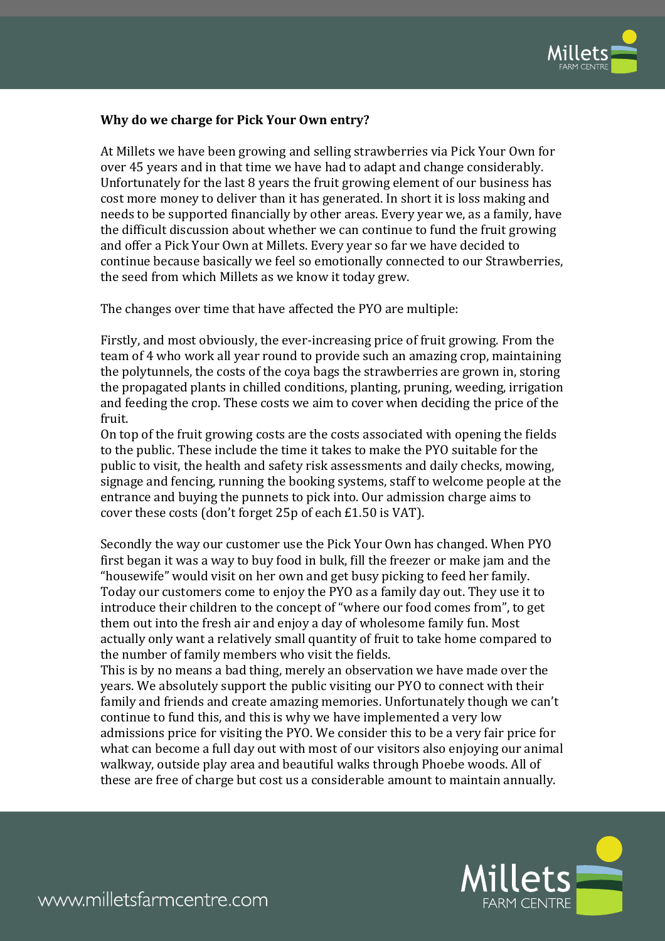

## **Why do we charge for Pick Your Own entry?**

At Millets we have been growing and selling strawberries via Pick Your Own for over 45 years and in that time we have had to adapt and change considerably. Unfortunately for the last 8 years the fruit growing element of our business has cost more money to deliver than it has generated. In short it is loss making and needs to be supported financially by other areas. Every year we, as a family, have the difficult discussion about whether we can continue to fund the fruit growing and offer a Pick Your Own at Millets. Every year so far we have decided to continue because basically we feel so emotionally connected to our Strawberries, the seed from which Millets as we know it today grew.

The changes over time that have affected the PYO are multiple:

Firstly, and most obviously, the ever-increasing price of fruit growing. From the team of 4 who work all year round to provide such an amazing crop, maintaining the polytunnels, the costs of the coya bags the strawberries are grown in, storing the propagated plants in chilled conditions, planting, pruning, weeding, irrigation and feeding the crop. These costs we aim to cover when deciding the price of the fruit.

On top of the fruit growing costs are the costs associated with opening the fields to the public. These include the time it takes to make the PYO suitable for the public to visit, the health and safety risk assessments and daily checks, mowing, signage and fencing, running the booking systems, staff to welcome people at the entrance and buying the punnets to pick into. Our admission charge aims to cover these costs (don't forget 25p of each £1.50 is VAT).

Secondly the way our customer use the Pick Your Own has changed. When PYO first began it was a way to buy food in bulk, fill the freezer or make jam and the "housewife" would visit on her own and get busy picking to feed her family. Today our customers come to enjoy the PYO as a family day out. They use it to introduce their children to the concept of "where our food comes from", to get them out into the fresh air and enjoy a day of wholesome family fun. Most actually only want a relatively small quantity of fruit to take home compared to the number of family members who visit the fields.

This is by no means a bad thing, merely an observation we have made over the years. We absolutely support the public visiting our PYO to connect with their family and friends and create amazing memories. Unfortunately though we can't continue to fund this, and this is why we have implemented a very low admissions price for visiting the PYO. We consider this to be a very fair price for what can become a full day out with most of our visitors also enjoying our animal walkway, outside play area and beautiful walks through Phoebe woods. All of these are free of charge but cost us a considerable amount to maintain annually.